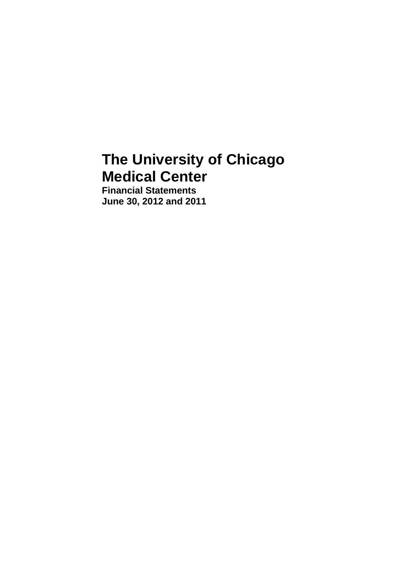# **The University of Chicago Medical Center**

**Financial Statements June 30, 2012 and 2011**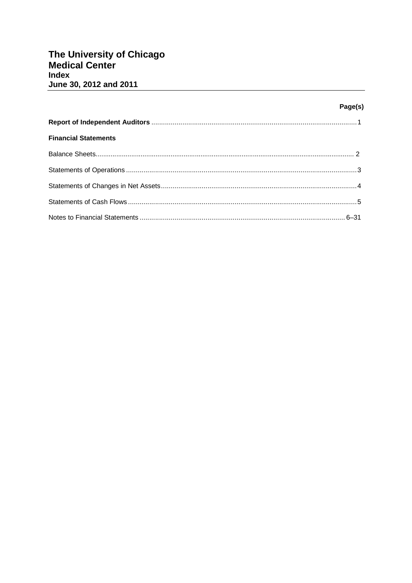# Page(s)

| <b>Financial Statements</b> |  |
|-----------------------------|--|
|                             |  |
|                             |  |
|                             |  |
|                             |  |
|                             |  |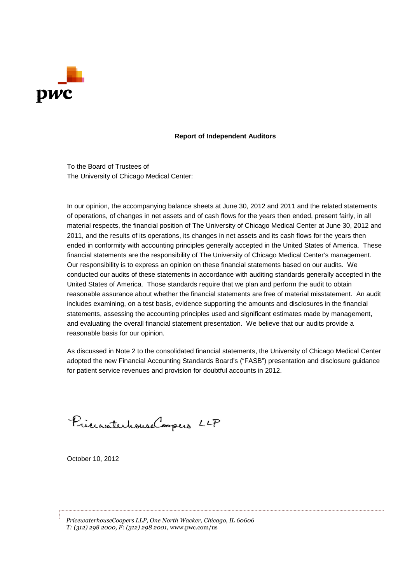

#### **Report of Independent Auditors**

To the Board of Trustees of The University of Chicago Medical Center:

In our opinion, the accompanying balance sheets at June 30, 2012 and 2011 and the related statements of operations, of changes in net assets and of cash flows for the years then ended, present fairly, in all material respects, the financial position of The University of Chicago Medical Center at June 30, 2012 and 2011, and the results of its operations, its changes in net assets and its cash flows for the years then ended in conformity with accounting principles generally accepted in the United States of America. These financial statements are the responsibility of The University of Chicago Medical Center's management. Our responsibility is to express an opinion on these financial statements based on our audits. We conducted our audits of these statements in accordance with auditing standards generally accepted in the United States of America. Those standards require that we plan and perform the audit to obtain reasonable assurance about whether the financial statements are free of material misstatement. An audit includes examining, on a test basis, evidence supporting the amounts and disclosures in the financial statements, assessing the accounting principles used and significant estimates made by management, and evaluating the overall financial statement presentation. We believe that our audits provide a reasonable basis for our opinion.

As discussed in Note 2 to the consolidated financial statements, the University of Chicago Medical Center adopted the new Financial Accounting Standards Board's ("FASB") presentation and disclosure guidance for patient service revenues and provision for doubtful accounts in 2012.

PrincipalentrouseCoopers LLP

October 10, 2012

*PricewaterhouseCoopers LLP, One North Wacker, Chicago, IL 60606 T: (312) 298 2000, F: (312) 298 2001,* www.pwc.com/us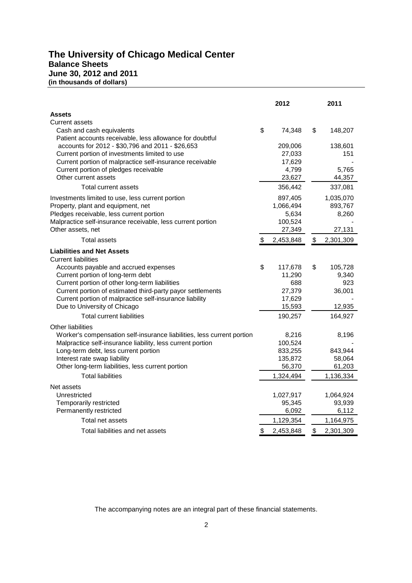# **The University of Chicago Medical Center Balance Sheets June 30, 2012 and 2011 (in thousands of dollars)**

|                                                                                                    | 2012 |                  |    | 2011      |
|----------------------------------------------------------------------------------------------------|------|------------------|----|-----------|
| <b>Assets</b>                                                                                      |      |                  |    |           |
| <b>Current assets</b>                                                                              |      |                  |    |           |
| Cash and cash equivalents                                                                          | \$   | 74,348           | \$ | 148,207   |
| Patient accounts receivable, less allowance for doubtful                                           |      |                  |    |           |
| accounts for 2012 - \$30,796 and 2011 - \$26,653                                                   |      | 209,006          |    | 138,601   |
| Current portion of investments limited to use                                                      |      | 27,033           |    | 151       |
| Current portion of malpractice self-insurance receivable                                           |      | 17,629           |    |           |
| Current portion of pledges receivable                                                              |      | 4,799            |    | 5,765     |
| Other current assets                                                                               |      | 23,627           |    | 44,357    |
| Total current assets                                                                               |      | 356,442          |    | 337,081   |
| Investments limited to use, less current portion                                                   |      | 897,405          |    | 1,035,070 |
| Property, plant and equipment, net                                                                 |      | 1,066,494        |    | 893,767   |
| Pledges receivable, less current portion                                                           |      | 5,634            |    | 8,260     |
| Malpractice self-insurance receivable, less current portion                                        |      | 100,524          |    |           |
| Other assets, net                                                                                  |      | 27,349           |    | 27,131    |
| <b>Total assets</b>                                                                                | \$   | 2,453,848        | \$ | 2,301,309 |
| <b>Liabilities and Net Assets</b>                                                                  |      |                  |    |           |
| <b>Current liabilities</b>                                                                         |      |                  |    |           |
| Accounts payable and accrued expenses                                                              | \$   | 117,678          | \$ | 105,728   |
| Current portion of long-term debt                                                                  |      | 11,290           |    | 9,340     |
| Current portion of other long-term liabilities                                                     |      | 688              |    | 923       |
| Current portion of estimated third-party payor settlements                                         |      | 27,379           |    | 36,001    |
| Current portion of malpractice self-insurance liability<br>Due to University of Chicago            |      | 17,629<br>15,593 |    | 12,935    |
| <b>Total current liabilities</b>                                                                   |      | 190,257          |    | 164,927   |
|                                                                                                    |      |                  |    |           |
| <b>Other liabilities</b>                                                                           |      |                  |    |           |
| Worker's compensation self-insurance liabilities, less current portion                             |      | 8,216<br>100,524 |    | 8,196     |
| Malpractice self-insurance liability, less current portion<br>Long-term debt, less current portion |      | 833,255          |    | 843,944   |
| Interest rate swap liability                                                                       |      | 135,872          |    | 58,064    |
| Other long-term liabilities, less current portion                                                  |      | 56,370           |    | 61,203    |
| <b>Total liabilities</b>                                                                           |      | 1,324,494        |    | 1,136,334 |
| Net assets                                                                                         |      |                  |    |           |
| Unrestricted                                                                                       |      | 1,027,917        |    | 1,064,924 |
| Temporarily restricted                                                                             |      | 95,345           |    | 93,939    |
| Permanently restricted                                                                             |      | 6,092            |    | 6,112     |
| Total net assets                                                                                   |      | 1,129,354        |    | 1,164,975 |
| Total liabilities and net assets                                                                   | \$   | 2,453,848        | \$ | 2,301,309 |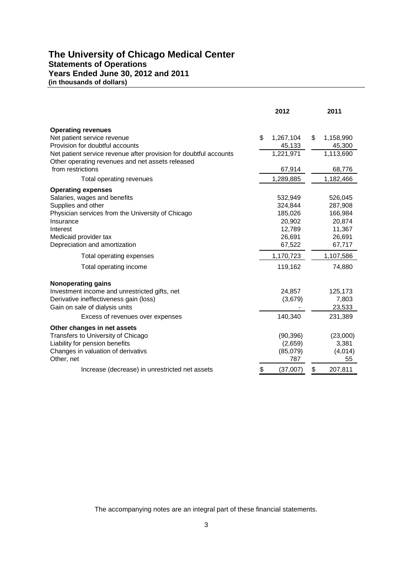### **The University of Chicago Medical Center Statements of Operations Years Ended June 30, 2012 and 2011 (in thousands of dollars)**

|                                                                                                                       | 2012            | 2011            |
|-----------------------------------------------------------------------------------------------------------------------|-----------------|-----------------|
| <b>Operating revenues</b>                                                                                             |                 |                 |
| Net patient service revenue                                                                                           | \$<br>1,267,104 | \$<br>1,158,990 |
| Provision for doubtful accounts                                                                                       | 45,133          | 45,300          |
| Net patient service revenue after provision for doubtful accounts<br>Other operating revenues and net assets released | 1,221,971       | 1,113,690       |
| from restrictions                                                                                                     | 67,914          | 68,776          |
| Total operating revenues                                                                                              | 1,289,885       | 1,182,466       |
| <b>Operating expenses</b>                                                                                             |                 |                 |
| Salaries, wages and benefits                                                                                          | 532,949         | 526,045         |
| Supplies and other                                                                                                    | 324,844         | 287,908         |
| Physician services from the University of Chicago                                                                     | 185,026         | 166,984         |
| Insurance                                                                                                             | 20,902          | 20,874          |
| Interest                                                                                                              | 12,789          | 11,367          |
| Medicaid provider tax                                                                                                 | 26,691          | 26,691          |
| Depreciation and amortization                                                                                         | 67,522          | 67,717          |
| Total operating expenses                                                                                              | 1,170,723       | 1,107,586       |
| Total operating income                                                                                                | 119,162         | 74,880          |
| <b>Nonoperating gains</b>                                                                                             |                 |                 |
| Investment income and unrestricted gifts, net                                                                         | 24,857          | 125,173         |
| Derivative ineffectiveness gain (loss)                                                                                | (3,679)         | 7,803           |
| Gain on sale of dialysis units                                                                                        |                 | 23,533          |
| Excess of revenues over expenses                                                                                      | 140,340         | 231,389         |
| Other changes in net assets                                                                                           |                 |                 |
| Transfers to University of Chicago                                                                                    | (90, 396)       | (23,000)        |
| Liability for pension benefits                                                                                        | (2,659)         | 3,381           |
| Changes in valuation of derivativs                                                                                    | (85,079)        | (4,014)         |
| Other, net                                                                                                            | 787             | 55              |
| Increase (decrease) in unrestricted net assets                                                                        | \$<br>(37,007)  | \$<br>207,811   |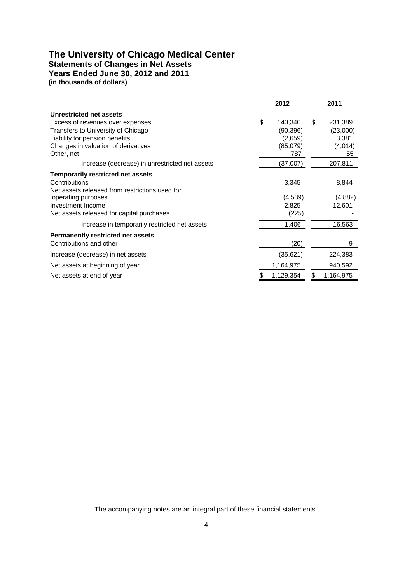# **The University of Chicago Medical Center**

**Statements of Changes in Net Assets**

**Years Ended June 30, 2012 and 2011**

**(in thousands of dollars)**

|                                                | 2012 |           |    | 2011      |
|------------------------------------------------|------|-----------|----|-----------|
| Unrestricted net assets                        |      |           |    |           |
| Excess of revenues over expenses               | \$   | 140,340   | \$ | 231,389   |
| Transfers to University of Chicago             |      | (90, 396) |    | (23,000)  |
| Liability for pension benefits                 |      | (2,659)   |    | 3,381     |
| Changes in valuation of derivatives            |      | (85,079)  |    | (4,014)   |
| Other, net                                     |      | 787       |    | 55        |
| Increase (decrease) in unrestricted net assets |      | (37,007)  |    | 207,811   |
| <b>Temporarily restricted net assets</b>       |      |           |    |           |
| Contributions                                  |      | 3,345     |    | 8,844     |
| Net assets released from restrictions used for |      |           |    |           |
| operating purposes                             |      | (4,539)   |    | (4,882)   |
| Investment Income                              |      | 2,825     |    | 12,601    |
| Net assets released for capital purchases      |      | (225)     |    |           |
| Increase in temporarily restricted net assets  |      | 1,406     |    | 16,563    |
| <b>Permanently restricted net assets</b>       |      |           |    |           |
| Contributions and other                        |      | (20)      |    | 9         |
| Increase (decrease) in net assets              |      | (35,621)  |    | 224,383   |
| Net assets at beginning of year                |      | 1,164,975 |    | 940,592   |
| Net assets at end of year                      | \$   | 1,129,354 | \$ | 1,164,975 |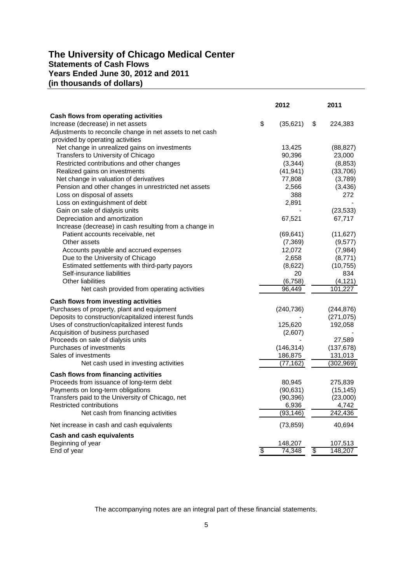# **The University of Chicago Medical Center Statements of Cash Flows Years Ended June 30, 2012 and 2011 (in thousands of dollars)**

|                                                           |    | 2012       | 2011          |
|-----------------------------------------------------------|----|------------|---------------|
| Cash flows from operating activities                      |    |            |               |
| Increase (decrease) in net assets                         | \$ | (35,621)   | \$<br>224,383 |
| Adjustments to reconcile change in net assets to net cash |    |            |               |
| provided by operating activities                          |    |            |               |
| Net change in unrealized gains on investments             |    | 13,425     | (88, 827)     |
| Transfers to University of Chicago                        |    | 90,396     | 23,000        |
| Restricted contributions and other changes                |    | (3, 344)   | (8, 853)      |
| Realized gains on investments                             |    | (41, 941)  | (33,706)      |
| Net change in valuation of derivatives                    |    | 77,808     | (3,789)       |
| Pension and other changes in unrestricted net assets      |    | 2,566      | (3, 436)      |
| Loss on disposal of assets                                |    | 388        | 272           |
| Loss on extinguishment of debt                            |    | 2,891      |               |
| Gain on sale of dialysis units                            |    |            | (23, 533)     |
| Depreciation and amortization                             |    | 67,521     | 67,717        |
| Increase (decrease) in cash resulting from a change in    |    |            |               |
| Patient accounts receivable, net                          |    | (69, 641)  | (11, 627)     |
| Other assets                                              |    | (7, 369)   | (9,577)       |
| Accounts payable and accrued expenses                     |    | 12,072     | (7,984)       |
| Due to the University of Chicago                          |    | 2,658      | (8,771)       |
| Estimated settlements with third-party payors             |    | (8,622)    | (10, 755)     |
| Self-insurance liabilities                                |    | 20         | 834           |
| <b>Other liabilities</b>                                  |    | (6, 758)   | (4, 121)      |
| Net cash provided from operating activities               |    | 96,449     | 101,227       |
| Cash flows from investing activities                      |    |            |               |
| Purchases of property, plant and equipment                |    | (240, 736) | (244, 876)    |
| Deposits to construction/capitalized interest funds       |    |            | (271, 075)    |
| Uses of construction/capitalized interest funds           |    | 125,620    | 192,058       |
| Acquisition of business purchased                         |    | (2,607)    |               |
| Proceeds on sale of dialysis units                        |    |            | 27,589        |
| Purchases of investments                                  |    | (146, 314) | (137, 678)    |
| Sales of investments                                      |    | 186,875    | 131,013       |
| Net cash used in investing activities                     |    | (77, 162)  | (302, 969)    |
| Cash flows from financing activities                      |    |            |               |
| Proceeds from issuance of long-term debt                  |    | 80,945     | 275,839       |
| Payments on long-term obligations                         |    | (90, 631)  | (15, 145)     |
| Transfers paid to the University of Chicago, net          |    | (90, 396)  | (23,000)      |
| Restricted contributions                                  |    | 6,936      | 4,742         |
| Net cash from financing activities                        |    | (93, 146)  | 242,436       |
|                                                           |    |            |               |
| Net increase in cash and cash equivalents                 |    | (73, 859)  | 40,694        |
| Cash and cash equivalents                                 |    |            |               |
| Beginning of year                                         |    | 148,207    | 107,513       |
| End of year                                               | ङ  | 74,348     | \$<br>148,207 |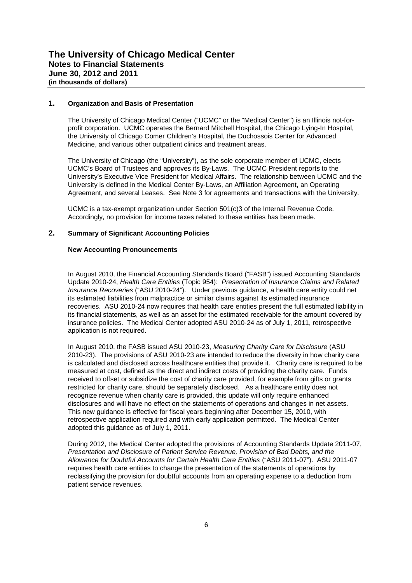#### **1. Organization and Basis of Presentation**

The University of Chicago Medical Center ("UCMC" or the "Medical Center") is an Illinois not-forprofit corporation. UCMC operates the Bernard Mitchell Hospital, the Chicago Lying-In Hospital, the University of Chicago Comer Children's Hospital, the Duchossois Center for Advanced Medicine, and various other outpatient clinics and treatment areas.

The University of Chicago (the "University"), as the sole corporate member of UCMC, elects UCMC's Board of Trustees and approves its By-Laws. The UCMC President reports to the University's Executive Vice President for Medical Affairs. The relationship between UCMC and the University is defined in the Medical Center By-Laws, an Affiliation Agreement, an Operating Agreement, and several Leases. See Note 3 for agreements and transactions with the University.

UCMC is a tax-exempt organization under Section 501(c)3 of the Internal Revenue Code. Accordingly, no provision for income taxes related to these entities has been made.

#### **2. Summary of Significant Accounting Policies**

#### **New Accounting Pronouncements**

In August 2010, the Financial Accounting Standards Board ("FASB") issued Accounting Standards Update 2010-24, *Health Care Entities* (Topic 954): *Presentation of Insurance Claims and Related Insurance Recoveries* ("ASU 2010-24"). Under previous guidance, a health care entity could net its estimated liabilities from malpractice or similar claims against its estimated insurance recoveries. ASU 2010-24 now requires that health care entities present the full estimated liability in its financial statements, as well as an asset for the estimated receivable for the amount covered by insurance policies. The Medical Center adopted ASU 2010-24 as of July 1, 2011, retrospective application is not required.

In August 2010, the FASB issued ASU 2010-23, *Measuring Charity Care for Disclosure* (ASU 2010-23). The provisions of ASU 2010-23 are intended to reduce the diversity in how charity care is calculated and disclosed across healthcare entities that provide it. Charity care is required to be measured at cost, defined as the direct and indirect costs of providing the charity care. Funds received to offset or subsidize the cost of charity care provided, for example from gifts or grants restricted for charity care, should be separately disclosed. As a healthcare entity does not recognize revenue when charity care is provided, this update will only require enhanced disclosures and will have no effect on the statements of operations and changes in net assets. This new guidance is effective for fiscal years beginning after December 15, 2010, with retrospective application required and with early application permitted. The Medical Center adopted this guidance as of July 1, 2011.

During 2012, the Medical Center adopted the provisions of Accounting Standards Update 2011-07, *Presentation and Disclosure of Patient Service Revenue, Provision of Bad Debts, and the Allowance for Doubtful Accounts for Certain Health Care Entities* ("ASU 2011-07"). ASU 2011-07 requires health care entities to change the presentation of the statements of operations by reclassifying the provision for doubtful accounts from an operating expense to a deduction from patient service revenues.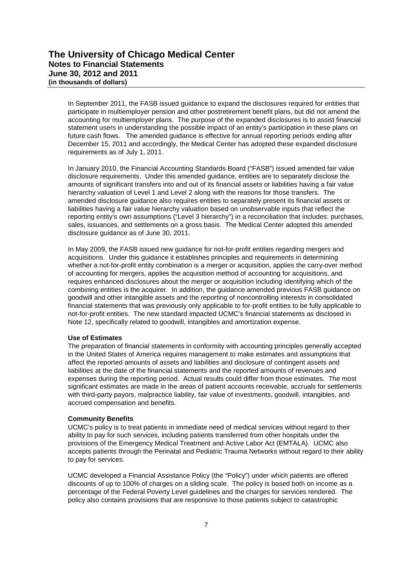In September 2011, the FASB issued guidance to expand the disclosures required for entities that participate in multiemployer pension and other postretirement benefit plans, but did not amend the accounting for multiemployer plans. The purpose of the expanded disclosures is to assist financial statement users in understanding the possible impact of an entity's participation in these plans on future cash flows. The amended guidance is effective for annual reporting periods ending after December 15, 2011 and accordingly, the Medical Center has adopted these expanded disclosure requirements as of July 1, 2011.

In January 2010, the Financial Accounting Standards Board ("FASB") issued amended fair value disclosure requirements. Under this amended guidance, entities are to separately disclose the amounts of significant transfers into and out of its financial assets or liabilities having a fair value hierarchy valuation of Level 1 and Level 2 along with the reasons for those transfers. The amended disclosure guidance also requires entities to separately present its financial assets or liabilities having a fair value hierarchy valuation based on unobservable inputs that reflect the reporting entity's own assumptions ("Level 3 hierarchy") in a reconciliation that includes: purchases, sales, issuances, and settlements on a gross basis. The Medical Center adopted this amended disclosure guidance as of June 30, 2011.

In May 2009, the FASB issued new guidance for not-for-profit entities regarding mergers and acquisitions. Under this guidance it establishes principles and requirements in determining whether a not-for-profit entity combination is a merger or acquisition, applies the carry-over method of accounting for mergers, applies the acquisition method of accounting for acquisitions, and requires enhanced disclosures about the merger or acquisition including identifying which of the combining entities is the acquirer. In addition, the guidance amended previous FASB guidance on goodwill and other intangible assets and the reporting of noncontrolling interests in consolidated financial statements that was previously only applicable to for-profit entities to be fully applicable to not-for-profit entities. The new standard impacted UCMC's financial statements as disclosed in Note 12, specifically related to goodwill, intangibles and amortization expense.

#### **Use of Estimates**

The preparation of financial statements in conformity with accounting principles generally accepted in the United States of America requires management to make estimates and assumptions that affect the reported amounts of assets and liabilities and disclosure of contingent assets and liabilities at the date of the financial statements and the reported amounts of revenues and expenses during the reporting period. Actual results could differ from those estimates. The most significant estimates are made in the areas of patient accounts receivable, accruals for settlements with third-party payors, malpractice liability, fair value of investments, goodwill, intangibles, and accrued compensation and benefits.

#### **Community Benefits**

UCMC's policy is to treat patients in immediate need of medical services without regard to their ability to pay for such services, including patients transferred from other hospitals under the provisions of the Emergency Medical Treatment and Active Labor Act (EMTALA). UCMC also accepts patients through the Perinatal and Pediatric Trauma Networks without regard to their ability to pay for services.

UCMC developed a Financial Assistance Policy (the "Policy") under which patients are offered discounts of up to 100% of charges on a sliding scale. The policy is based both on income as a percentage of the Federal Poverty Level guidelines and the charges for services rendered. The policy also contains provisions that are responsive to those patients subject to catastrophic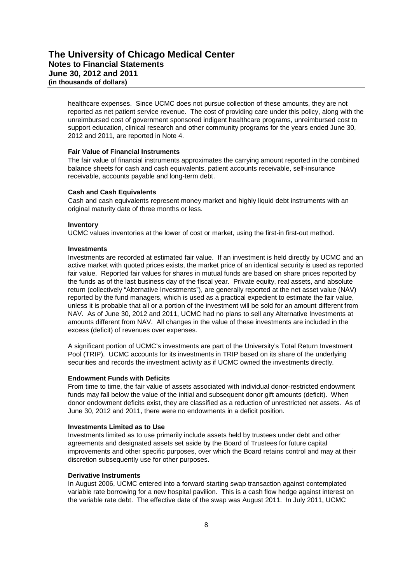healthcare expenses. Since UCMC does not pursue collection of these amounts, they are not reported as net patient service revenue. The cost of providing care under this policy, along with the unreimbursed cost of government sponsored indigent healthcare programs, unreimbursed cost to support education, clinical research and other community programs for the years ended June 30, 2012 and 2011, are reported in Note 4.

#### **Fair Value of Financial Instruments**

The fair value of financial instruments approximates the carrying amount reported in the combined balance sheets for cash and cash equivalents, patient accounts receivable, self-insurance receivable, accounts payable and long-term debt.

#### **Cash and Cash Equivalents**

Cash and cash equivalents represent money market and highly liquid debt instruments with an original maturity date of three months or less.

#### **Inventory**

UCMC values inventories at the lower of cost or market, using the first-in first-out method.

#### **Investments**

Investments are recorded at estimated fair value. If an investment is held directly by UCMC and an active market with quoted prices exists, the market price of an identical security is used as reported fair value. Reported fair values for shares in mutual funds are based on share prices reported by the funds as of the last business day of the fiscal year. Private equity, real assets, and absolute return (collectively "Alternative Investments"), are generally reported at the net asset value (NAV) reported by the fund managers, which is used as a practical expedient to estimate the fair value, unless it is probable that all or a portion of the investment will be sold for an amount different from NAV. As of June 30, 2012 and 2011, UCMC had no plans to sell any Alternative Investments at amounts different from NAV. All changes in the value of these investments are included in the excess (deficit) of revenues over expenses.

A significant portion of UCMC's investments are part of the University's Total Return Investment Pool (TRIP). UCMC accounts for its investments in TRIP based on its share of the underlying securities and records the investment activity as if UCMC owned the investments directly.

#### **Endowment Funds with Deficits**

From time to time, the fair value of assets associated with individual donor-restricted endowment funds may fall below the value of the initial and subsequent donor gift amounts (deficit). When donor endowment deficits exist, they are classified as a reduction of unrestricted net assets. As of June 30, 2012 and 2011, there were no endowments in a deficit position.

#### **Investments Limited as to Use**

Investments limited as to use primarily include assets held by trustees under debt and other agreements and designated assets set aside by the Board of Trustees for future capital improvements and other specific purposes, over which the Board retains control and may at their discretion subsequently use for other purposes.

#### **Derivative Instruments**

In August 2006, UCMC entered into a forward starting swap transaction against contemplated variable rate borrowing for a new hospital pavilion. This is a cash flow hedge against interest on the variable rate debt. The effective date of the swap was August 2011. In July 2011, UCMC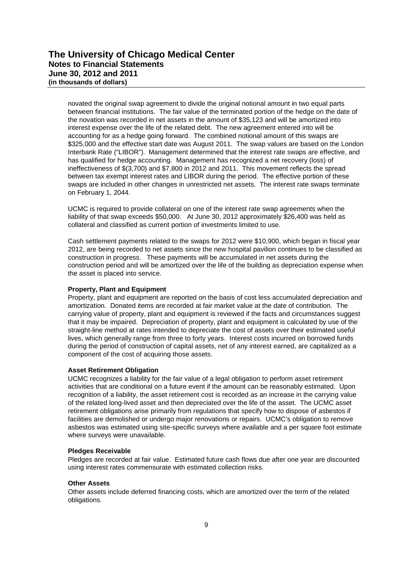novated the original swap agreement to divide the original notional amount in two equal parts between financial institutions. The fair value of the terminated portion of the hedge on the date of the novation was recorded in net assets in the amount of \$35,123 and will be amortized into interest expense over the life of the related debt. The new agreement entered into will be accounting for as a hedge going forward. The combined notional amount of this swaps are \$325,000 and the effective start date was August 2011. The swap values are based on the London Interbank Rate ("LIBOR"). Management determined that the interest rate swaps are effective, and has qualified for hedge accounting. Management has recognized a net recovery (loss) of ineffectiveness of \$(3,700) and \$7,800 in 2012 and 2011. This movement reflects the spread between tax exempt interest rates and LIBOR during the period. The effective portion of these swaps are included in other changes in unrestricted net assets. The interest rate swaps terminate on February 1, 2044.

UCMC is required to provide collateral on one of the interest rate swap agreements when the liability of that swap exceeds \$50,000. At June 30, 2012 approximately \$26,400 was held as collateral and classified as current portion of investments limited to use.

Cash settlement payments related to the swaps for 2012 were \$10,900, which began in fiscal year 2012, are being recorded to net assets since the new hospital pavilion continues to be classified as construction in progress. These payments will be accumulated in net assets during the construction period and will be amortized over the life of the building as depreciation expense when the asset is placed into service.

#### **Property, Plant and Equipment**

Property, plant and equipment are reported on the basis of cost less accumulated depreciation and amortization. Donated items are recorded at fair market value at the date of contribution. The carrying value of property, plant and equipment is reviewed if the facts and circumstances suggest that it may be impaired. Depreciation of property, plant and equipment is calculated by use of the straight-line method at rates intended to depreciate the cost of assets over their estimated useful lives, which generally range from three to forty years. Interest costs incurred on borrowed funds during the period of construction of capital assets, net of any interest earned, are capitalized as a component of the cost of acquiring those assets.

#### **Asset Retirement Obligation**

UCMC recognizes a liability for the fair value of a legal obligation to perform asset retirement activities that are conditional on a future event if the amount can be reasonably estimated. Upon recognition of a liability, the asset retirement cost is recorded as an increase in the carrying value of the related long-lived asset and then depreciated over the life of the asset. The UCMC asset retirement obligations arise primarily from regulations that specify how to dispose of asbestos if facilities are demolished or undergo major renovations or repairs. UCMC's obligation to remove asbestos was estimated using site-specific surveys where available and a per square foot estimate where surveys were unavailable.

#### **Pledges Receivable**

Pledges are recorded at fair value. Estimated future cash flows due after one year are discounted using interest rates commensurate with estimated collection risks.

#### **Other Assets**

Other assets include deferred financing costs, which are amortized over the term of the related obligations.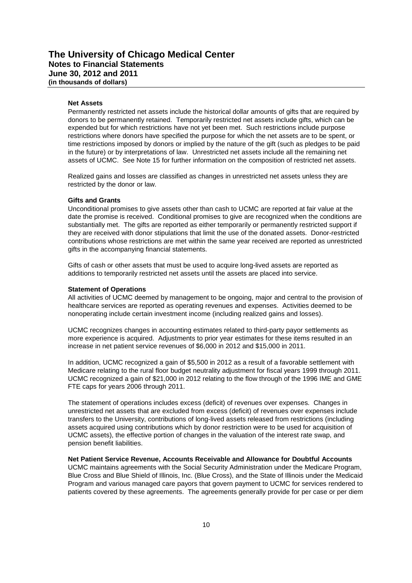#### **Net Assets**

Permanently restricted net assets include the historical dollar amounts of gifts that are required by donors to be permanently retained. Temporarily restricted net assets include gifts, which can be expended but for which restrictions have not yet been met. Such restrictions include purpose restrictions where donors have specified the purpose for which the net assets are to be spent, or time restrictions imposed by donors or implied by the nature of the gift (such as pledges to be paid in the future) or by interpretations of law. Unrestricted net assets include all the remaining net assets of UCMC. See Note 15 for further information on the composition of restricted net assets.

Realized gains and losses are classified as changes in unrestricted net assets unless they are restricted by the donor or law.

#### **Gifts and Grants**

Unconditional promises to give assets other than cash to UCMC are reported at fair value at the date the promise is received. Conditional promises to give are recognized when the conditions are substantially met. The gifts are reported as either temporarily or permanently restricted support if they are received with donor stipulations that limit the use of the donated assets. Donor-restricted contributions whose restrictions are met within the same year received are reported as unrestricted gifts in the accompanying financial statements.

Gifts of cash or other assets that must be used to acquire long-lived assets are reported as additions to temporarily restricted net assets until the assets are placed into service.

#### **Statement of Operations**

All activities of UCMC deemed by management to be ongoing, major and central to the provision of healthcare services are reported as operating revenues and expenses. Activities deemed to be nonoperating include certain investment income (including realized gains and losses).

UCMC recognizes changes in accounting estimates related to third-party payor settlements as more experience is acquired. Adjustments to prior year estimates for these items resulted in an increase in net patient service revenues of \$6,000 in 2012 and \$15,000 in 2011.

In addition, UCMC recognized a gain of \$5,500 in 2012 as a result of a favorable settlement with Medicare relating to the rural floor budget neutrality adjustment for fiscal years 1999 through 2011. UCMC recognized a gain of \$21,000 in 2012 relating to the flow through of the 1996 IME and GME FTE caps for years 2006 through 2011.

The statement of operations includes excess (deficit) of revenues over expenses. Changes in unrestricted net assets that are excluded from excess (deficit) of revenues over expenses include transfers to the University, contributions of long-lived assets released from restrictions (including assets acquired using contributions which by donor restriction were to be used for acquisition of UCMC assets), the effective portion of changes in the valuation of the interest rate swap, and pension benefit liabilities.

#### **Net Patient Service Revenue, Accounts Receivable and Allowance for Doubtful Accounts**

UCMC maintains agreements with the Social Security Administration under the Medicare Program, Blue Cross and Blue Shield of Illinois, Inc. (Blue Cross), and the State of Illinois under the Medicaid Program and various managed care payors that govern payment to UCMC for services rendered to patients covered by these agreements. The agreements generally provide for per case or per diem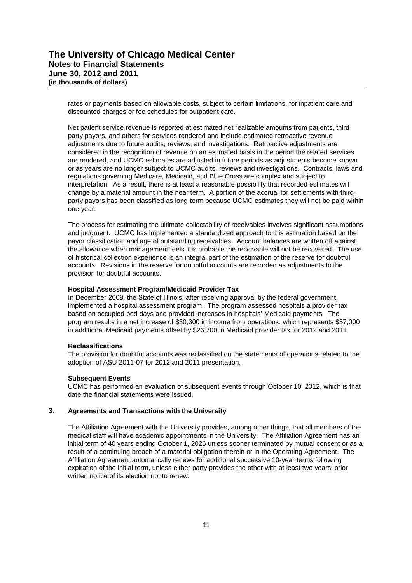rates or payments based on allowable costs, subject to certain limitations, for inpatient care and discounted charges or fee schedules for outpatient care.

Net patient service revenue is reported at estimated net realizable amounts from patients, thirdparty payors, and others for services rendered and include estimated retroactive revenue adjustments due to future audits, reviews, and investigations. Retroactive adjustments are considered in the recognition of revenue on an estimated basis in the period the related services are rendered, and UCMC estimates are adjusted in future periods as adjustments become known or as years are no longer subject to UCMC audits, reviews and investigations. Contracts, laws and regulations governing Medicare, Medicaid, and Blue Cross are complex and subject to interpretation. As a result, there is at least a reasonable possibility that recorded estimates will change by a material amount in the near term. A portion of the accrual for settlements with thirdparty payors has been classified as long-term because UCMC estimates they will not be paid within one year.

The process for estimating the ultimate collectability of receivables involves significant assumptions and judgment. UCMC has implemented a standardized approach to this estimation based on the payor classification and age of outstanding receivables. Account balances are written off against the allowance when management feels it is probable the receivable will not be recovered. The use of historical collection experience is an integral part of the estimation of the reserve for doubtful accounts. Revisions in the reserve for doubtful accounts are recorded as adjustments to the provision for doubtful accounts.

#### **Hospital Assessment Program/Medicaid Provider Tax**

In December 2008, the State of Illinois, after receiving approval by the federal government, implemented a hospital assessment program. The program assessed hospitals a provider tax based on occupied bed days and provided increases in hospitals' Medicaid payments. The program results in a net increase of \$30,300 in income from operations, which represents \$57,000 in additional Medicaid payments offset by \$26,700 in Medicaid provider tax for 2012 and 2011.

#### **Reclassifications**

The provision for doubtful accounts was reclassified on the statements of operations related to the adoption of ASU 2011-07 for 2012 and 2011 presentation.

#### **Subsequent Events**

UCMC has performed an evaluation of subsequent events through October 10, 2012, which is that date the financial statements were issued.

#### **3. Agreements and Transactions with the University**

The Affiliation Agreement with the University provides, among other things, that all members of the medical staff will have academic appointments in the University. The Affiliation Agreement has an initial term of 40 years ending October 1, 2026 unless sooner terminated by mutual consent or as a result of a continuing breach of a material obligation therein or in the Operating Agreement. The Affiliation Agreement automatically renews for additional successive 10-year terms following expiration of the initial term, unless either party provides the other with at least two years' prior written notice of its election not to renew.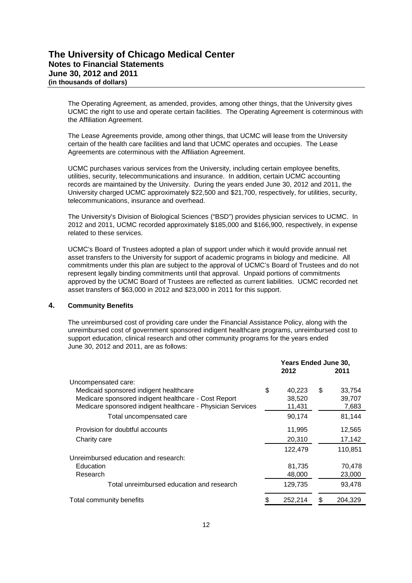The Operating Agreement, as amended, provides, among other things, that the University gives UCMC the right to use and operate certain facilities. The Operating Agreement is coterminous with the Affiliation Agreement.

The Lease Agreements provide, among other things, that UCMC will lease from the University certain of the health care facilities and land that UCMC operates and occupies. The Lease Agreements are coterminous with the Affiliation Agreement.

UCMC purchases various services from the University, including certain employee benefits, utilities, security, telecommunications and insurance. In addition, certain UCMC accounting records are maintained by the University. During the years ended June 30, 2012 and 2011, the University charged UCMC approximately \$22,500 and \$21,700, respectively, for utilities, security, telecommunications, insurance and overhead.

The University's Division of Biological Sciences ("BSD") provides physician services to UCMC. In 2012 and 2011, UCMC recorded approximately \$185,000 and \$166,900, respectively, in expense related to these services.

UCMC's Board of Trustees adopted a plan of support under which it would provide annual net asset transfers to the University for support of academic programs in biology and medicine. All commitments under this plan are subject to the approval of UCMC's Board of Trustees and do not represent legally binding commitments until that approval. Unpaid portions of commitments approved by the UCMC Board of Trustees are reflected as current liabilities. UCMC recorded net asset transfers of \$63,000 in 2012 and \$23,000 in 2011 for this support.

#### **4. Community Benefits**

The unreimbursed cost of providing care under the Financial Assistance Policy, along with the unreimbursed cost of government sponsored indigent healthcare programs, unreimbursed cost to support education, clinical research and other community programs for the years ended June 30, 2012 and 2011, are as follows:

|                                                             |               | <b>Years Ended June 30,</b><br>2011<br>40,223<br>\$<br>38,520<br>11,431<br>90,174<br>11,995<br>20,310<br>122,479 |         |  |
|-------------------------------------------------------------|---------------|------------------------------------------------------------------------------------------------------------------|---------|--|
|                                                             | 2012          |                                                                                                                  |         |  |
| Uncompensated care:                                         |               |                                                                                                                  |         |  |
| Medicaid sponsored indigent healthcare                      | \$            |                                                                                                                  | 33,754  |  |
| Medicare sponsored indigent healthcare - Cost Report        |               |                                                                                                                  | 39,707  |  |
| Medicare sponsored indigent healthcare - Physician Services |               |                                                                                                                  | 7,683   |  |
| Total uncompensated care                                    |               |                                                                                                                  | 81,144  |  |
| Provision for doubtful accounts                             |               |                                                                                                                  | 12,565  |  |
| Charity care                                                |               |                                                                                                                  | 17,142  |  |
|                                                             |               |                                                                                                                  | 110.851 |  |
| Unreimbursed education and research:                        |               |                                                                                                                  |         |  |
| Education                                                   | 81,735        |                                                                                                                  | 70,478  |  |
| Research                                                    | 48,000        |                                                                                                                  | 23,000  |  |
| Total unreimbursed education and research                   | 129,735       |                                                                                                                  | 93,478  |  |
| Total community benefits                                    | \$<br>252,214 | \$                                                                                                               | 204.329 |  |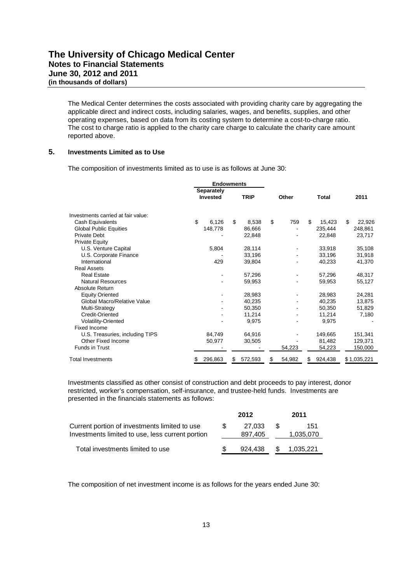The Medical Center determines the costs associated with providing charity care by aggregating the applicable direct and indirect costs, including salaries, wages, and benefits, supplies, and other operating expenses, based on data from its costing system to determine a cost-to-charge ratio. The cost to charge ratio is applied to the charity care charge to calculate the charity care amount reported above.

#### **5. Investments Limited as to Use**

The composition of investments limited as to use is as follows at June 30:

|                                    | <b>Endowments</b>                    |         |     |             |    |        |    |         |    |             |  |
|------------------------------------|--------------------------------------|---------|-----|-------------|----|--------|----|---------|----|-------------|--|
|                                    | <b>Separately</b><br><b>Invested</b> |         |     |             |    |        |    |         |    |             |  |
|                                    |                                      |         |     | <b>TRIP</b> |    | Other  |    | Total   |    | 2011        |  |
| Investments carried at fair value: |                                      |         |     |             |    |        |    |         |    |             |  |
| Cash Equivalents                   | \$                                   | 6,126   | \$  | 8.538       | \$ | 759    | \$ | 15,423  | \$ | 22,926      |  |
| <b>Global Public Equities</b>      |                                      | 148,778 |     | 86,666      |    |        |    | 235,444 |    | 248,861     |  |
| <b>Private Debt</b>                |                                      |         |     | 22,848      |    |        |    | 22,848  |    | 23,717      |  |
| <b>Private Equity</b>              |                                      |         |     |             |    |        |    |         |    |             |  |
| U.S. Venture Capital               |                                      | 5,804   |     | 28,114      |    |        |    | 33,918  |    | 35,108      |  |
| U.S. Corporate Finance             |                                      |         |     | 33,196      |    |        |    | 33,196  |    | 31,918      |  |
| International                      |                                      | 429     |     | 39,804      |    |        |    | 40,233  |    | 41,370      |  |
| <b>Real Assets</b>                 |                                      |         |     |             |    |        |    |         |    |             |  |
| <b>Real Estate</b>                 |                                      |         |     | 57,296      |    |        |    | 57,296  |    | 48,317      |  |
| <b>Natural Resources</b>           |                                      |         |     | 59,953      |    |        |    | 59,953  |    | 55,127      |  |
| Absolute Return                    |                                      |         |     |             |    |        |    |         |    |             |  |
| <b>Equity Oriented</b>             |                                      |         |     | 28,983      |    |        |    | 28,983  |    | 24,281      |  |
| Global Macro/Relative Value        |                                      |         |     | 40,235      |    |        |    | 40,235  |    | 13,875      |  |
| Multi-Strategy                     |                                      |         |     | 50,350      |    |        |    | 50,350  |    | 51,829      |  |
| Credit-Oriented                    |                                      |         |     | 11,214      |    |        |    | 11,214  |    | 7,180       |  |
| Volatility-Oriented                |                                      |         |     | 9,975       |    |        |    | 9,975   |    |             |  |
| Fixed Income                       |                                      |         |     |             |    |        |    |         |    |             |  |
| U.S. Treasuries, including TIPS    |                                      | 84.749  |     | 64,916      |    |        |    | 149,665 |    | 151,341     |  |
| Other Fixed Income                 |                                      | 50,977  |     | 30,505      |    |        |    | 81,482  |    | 129,371     |  |
| <b>Funds in Trust</b>              |                                      |         |     |             |    | 54,223 |    | 54,223  |    | 150,000     |  |
| Total Investments                  | S                                    | 296,863 | \$. | 572,593     | S  | 54,982 | S  | 924,438 |    | \$1,035,221 |  |

Investments classified as other consist of construction and debt proceeds to pay interest, donor restricted, worker's compensation, self-insurance, and trustee-held funds. Investments are presented in the financials statements as follows:

|                                                                                                   |     | 2012              |      | 2011             |
|---------------------------------------------------------------------------------------------------|-----|-------------------|------|------------------|
| Current portion of investments limited to use<br>Investments limited to use, less current portion | \$. | 27.033<br>897,405 | - SS | 151<br>1,035,070 |
| Total investments limited to use                                                                  |     | 924.438           | - SS | 1.035.221        |

The composition of net investment income is as follows for the years ended June 30: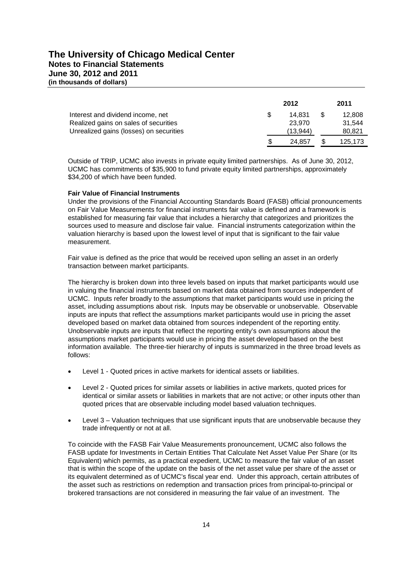|                                                                                                                       | 2012 |                              |    | 2011                       |
|-----------------------------------------------------------------------------------------------------------------------|------|------------------------------|----|----------------------------|
| Interest and dividend income, net<br>Realized gains on sales of securities<br>Unrealized gains (losses) on securities | \$.  | 14.831<br>23.970<br>(13.944) | £. | 12,808<br>31.544<br>80,821 |
|                                                                                                                       | S    | 24.857                       |    | 125.173                    |

Outside of TRIP, UCMC also invests in private equity limited partnerships. As of June 30, 2012, UCMC has commitments of \$35,900 to fund private equity limited partnerships, approximately \$34,200 of which have been funded.

#### **Fair Value of Financial Instruments**

Under the provisions of the Financial Accounting Standards Board (FASB) official pronouncements on Fair Value Measurements for financial instruments fair value is defined and a framework is established for measuring fair value that includes a hierarchy that categorizes and prioritizes the sources used to measure and disclose fair value. Financial instruments categorization within the valuation hierarchy is based upon the lowest level of input that is significant to the fair value measurement.

Fair value is defined as the price that would be received upon selling an asset in an orderly transaction between market participants.

The hierarchy is broken down into three levels based on inputs that market participants would use in valuing the financial instruments based on market data obtained from sources independent of UCMC. Inputs refer broadly to the assumptions that market participants would use in pricing the asset, including assumptions about risk. Inputs may be observable or unobservable. Observable inputs are inputs that reflect the assumptions market participants would use in pricing the asset developed based on market data obtained from sources independent of the reporting entity. Unobservable inputs are inputs that reflect the reporting entity's own assumptions about the assumptions market participants would use in pricing the asset developed based on the best information available. The three-tier hierarchy of inputs is summarized in the three broad levels as follows:

- Level 1 Quoted prices in active markets for identical assets or liabilities.
- Level 2 Quoted prices for similar assets or liabilities in active markets, quoted prices for identical or similar assets or liabilities in markets that are not active; or other inputs other than quoted prices that are observable including model based valuation techniques.
- Level 3 Valuation techniques that use significant inputs that are unobservable because they trade infrequently or not at all.

To coincide with the FASB Fair Value Measurements pronouncement, UCMC also follows the FASB update for Investments in Certain Entities That Calculate Net Asset Value Per Share (or Its Equivalent) which permits, as a practical expedient, UCMC to measure the fair value of an asset that is within the scope of the update on the basis of the net asset value per share of the asset or its equivalent determined as of UCMC's fiscal year end. Under this approach, certain attributes of the asset such as restrictions on redemption and transaction prices from principal-to-principal or brokered transactions are not considered in measuring the fair value of an investment. The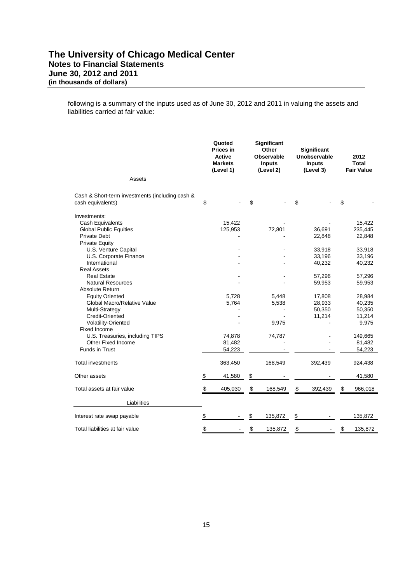following is a summary of the inputs used as of June 30, 2012 and 2011 in valuing the assets and liabilities carried at fair value:

|                                                                                                                                                                                                                                                                                                                                                                                                                                                                                                                      | Quoted<br><b>Prices in</b><br><b>Active</b><br><b>Markets</b><br>(Level 1) | Significant<br>Other<br>Observable<br><b>Inputs</b><br>(Level 2) |                                             | <b>Significant</b><br>Unobservable<br><b>Inputs</b><br>(Level 3)                                           | 2012<br><b>Total</b><br><b>Fair Value</b>                                                                                                                     |
|----------------------------------------------------------------------------------------------------------------------------------------------------------------------------------------------------------------------------------------------------------------------------------------------------------------------------------------------------------------------------------------------------------------------------------------------------------------------------------------------------------------------|----------------------------------------------------------------------------|------------------------------------------------------------------|---------------------------------------------|------------------------------------------------------------------------------------------------------------|---------------------------------------------------------------------------------------------------------------------------------------------------------------|
| Assets                                                                                                                                                                                                                                                                                                                                                                                                                                                                                                               |                                                                            |                                                                  |                                             |                                                                                                            |                                                                                                                                                               |
| Cash & Short-term investments (including cash &<br>cash equivalents)                                                                                                                                                                                                                                                                                                                                                                                                                                                 | \$                                                                         | \$                                                               |                                             | \$                                                                                                         | \$                                                                                                                                                            |
| Investments:<br>Cash Equivalents<br><b>Global Public Equities</b><br><b>Private Debt</b><br><b>Private Equity</b><br>U.S. Venture Capital<br>U.S. Corporate Finance<br>International<br><b>Real Assets</b><br><b>Real Estate</b><br><b>Natural Resources</b><br>Absolute Return<br><b>Equity Oriented</b><br>Global Macro/Relative Value<br>Multi-Strategy<br><b>Credit-Oriented</b><br>Volatility-Oriented<br><b>Fixed Income</b><br>U.S. Treasuries, including TIPS<br>Other Fixed Income<br><b>Funds in Trust</b> | 15,422<br>125,953<br>5,728<br>5,764<br>74,878<br>81,482<br>54,223          |                                                                  | 72,801<br>5,448<br>5,538<br>9,975<br>74,787 | 36,691<br>22,848<br>33,918<br>33,196<br>40,232<br>57,296<br>59,953<br>17,808<br>28,933<br>50,350<br>11,214 | 15,422<br>235,445<br>22,848<br>33,918<br>33,196<br>40,232<br>57,296<br>59,953<br>28,984<br>40,235<br>50,350<br>11,214<br>9,975<br>149,665<br>81,482<br>54,223 |
| Total investments                                                                                                                                                                                                                                                                                                                                                                                                                                                                                                    | 363,450                                                                    |                                                                  | 168,549                                     | 392,439                                                                                                    | 924,438                                                                                                                                                       |
| Other assets                                                                                                                                                                                                                                                                                                                                                                                                                                                                                                         | \$<br>41,580                                                               | \$                                                               |                                             |                                                                                                            | 41,580                                                                                                                                                        |
| Total assets at fair value                                                                                                                                                                                                                                                                                                                                                                                                                                                                                           | \$<br>405,030                                                              | \$                                                               | 168,549                                     | \$<br>392,439                                                                                              | \$<br>966,018                                                                                                                                                 |
| Liabilities                                                                                                                                                                                                                                                                                                                                                                                                                                                                                                          |                                                                            |                                                                  |                                             |                                                                                                            |                                                                                                                                                               |
| Interest rate swap payable                                                                                                                                                                                                                                                                                                                                                                                                                                                                                           | \$                                                                         | \$                                                               | 135,872                                     | \$                                                                                                         | 135,872                                                                                                                                                       |
| Total liabilities at fair value                                                                                                                                                                                                                                                                                                                                                                                                                                                                                      | \$                                                                         | \$                                                               | 135,872                                     | \$<br>$\blacksquare$                                                                                       | \$<br>135,872                                                                                                                                                 |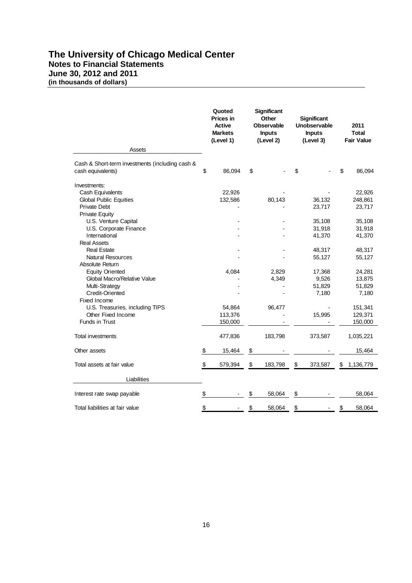# **The University of Chicago Medical Center Notes to Financial Statements June 30, 2012 and 2011 (in thousands of dollars)**

|                                                                                                                   |               | Quoted<br>Prices in<br><b>Active</b><br><b>Markets</b><br>(Level 1) | <b>Significant</b><br>Other<br><b>Observable</b><br><b>Inputs</b><br>(Level 2) |                |               | <b>Significant</b><br>Unobservable<br><b>Inputs</b><br>(Level 3) | 2011<br><b>Total</b><br><b>Fair Value</b> |
|-------------------------------------------------------------------------------------------------------------------|---------------|---------------------------------------------------------------------|--------------------------------------------------------------------------------|----------------|---------------|------------------------------------------------------------------|-------------------------------------------|
| Assets                                                                                                            |               |                                                                     |                                                                                |                |               |                                                                  |                                           |
| Cash & Short-term investments (including cash &<br>cash equivalents)                                              | \$            | 86,094                                                              | \$                                                                             |                | \$            |                                                                  | \$<br>86,094                              |
| Investments:<br>Cash Equivalents<br><b>Global Public Equities</b><br><b>Private Debt</b><br><b>Private Equity</b> |               | 22,926<br>132,586                                                   |                                                                                | 80,143         |               | 36,132<br>23,717                                                 | 22,926<br>248,861<br>23,717               |
| U.S. Venture Capital<br>U.S. Corporate Finance<br>International<br><b>Real Assets</b>                             |               |                                                                     |                                                                                |                |               | 35,108<br>31,918<br>41,370                                       | 35,108<br>31,918<br>41,370                |
| <b>Real Estate</b><br><b>Natural Resources</b><br>Absolute Return                                                 |               |                                                                     |                                                                                |                |               | 48,317<br>55,127                                                 | 48,317<br>55,127                          |
| <b>Equity Oriented</b><br>Global Macro/Relative Value<br>Multi-Strategy<br><b>Credit-Oriented</b><br>Fixed Income |               | 4,084                                                               |                                                                                | 2,829<br>4,349 |               | 17,368<br>9,526<br>51,829<br>7,180                               | 24,281<br>13,875<br>51,829<br>7,180       |
| U.S. Treasuries, including TIPS<br>Other Fixed Income<br>Funds in Trust                                           |               | 54,864<br>113,376<br>150,000                                        |                                                                                | 96,477         |               | 15,995                                                           | 151,341<br>129,371<br>150,000             |
| <b>Total investments</b>                                                                                          |               | 477,836                                                             |                                                                                | 183,798        |               | 373,587                                                          | 1,035,221                                 |
| Other assets                                                                                                      | \$            | 15,464                                                              | \$                                                                             |                |               |                                                                  | 15,464                                    |
| Total assets at fair value                                                                                        | \$            | 579,394                                                             | \$                                                                             | 183,798        | \$            | 373,587                                                          | \$<br>1,136,779                           |
| Liabilities                                                                                                       |               |                                                                     |                                                                                |                |               |                                                                  |                                           |
| Interest rate swap payable                                                                                        | \$            |                                                                     | \$                                                                             | 58,064         | \$            |                                                                  | 58,064                                    |
| Total liabilities at fair value                                                                                   | $\frac{3}{2}$ |                                                                     | \$                                                                             | 58,064         | $\frac{3}{2}$ |                                                                  | \$<br>58,064                              |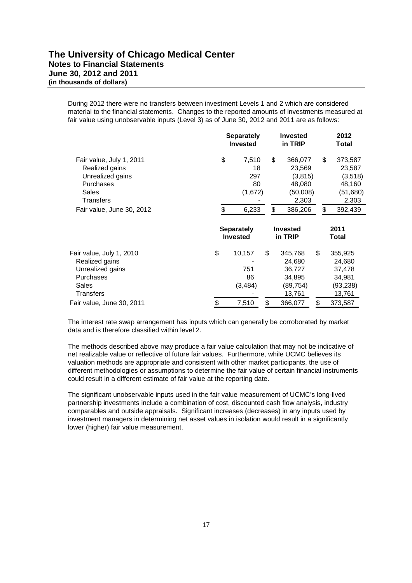During 2012 there were no transfers between investment Levels 1 and 2 which are considered material to the financial statements. Changes to the reported amounts of investments measured at fair value using unobservable inputs (Level 3) as of June 30, 2012 and 2011 are as follows:

|                                                                                                                                       |          | <b>Separately</b><br><b>Invested</b>         |          | Invested<br>in TRIP                                                     | 2012<br>Total                                                                      |  |  |
|---------------------------------------------------------------------------------------------------------------------------------------|----------|----------------------------------------------|----------|-------------------------------------------------------------------------|------------------------------------------------------------------------------------|--|--|
| Fair value, July 1, 2011<br>Realized gains<br>Unrealized gains<br><b>Purchases</b><br>Sales<br>Transfers<br>Fair value, June 30, 2012 | \$<br>\$ | 7,510<br>18<br>297<br>80<br>(1,672)<br>6,233 | \$<br>\$ | 366,077<br>23,569<br>(3, 815)<br>48,080<br>(50,008)<br>2,303<br>386,206 | \$<br>373,587<br>23,587<br>(3,518)<br>48,160<br>(51,680)<br>2,303<br>\$<br>392,439 |  |  |
|                                                                                                                                       |          | <b>Separately</b><br><b>Invested</b>         |          | <b>Invested</b><br>in TRIP                                              | 2011<br>Total                                                                      |  |  |
| Fair value, July 1, 2010<br>Realized gains<br>Unrealized gains<br>Purchases<br>Sales<br>Transfers                                     | \$       | 10,157<br>751<br>86<br>(3, 484)              | \$       | 345,768<br>24,680<br>36,727<br>34,895<br>(89,754)<br>13,761             | \$<br>355,925<br>24,680<br>37,478<br>34,981<br>(93, 238)<br>13,761                 |  |  |
| Fair value, June 30, 2011                                                                                                             | \$       | 7,510                                        | \$       | 366,077                                                                 | \$<br>373,587                                                                      |  |  |

The interest rate swap arrangement has inputs which can generally be corroborated by market data and is therefore classified within level 2.

The methods described above may produce a fair value calculation that may not be indicative of net realizable value or reflective of future fair values. Furthermore, while UCMC believes its valuation methods are appropriate and consistent with other market participants, the use of different methodologies or assumptions to determine the fair value of certain financial instruments could result in a different estimate of fair value at the reporting date.

The significant unobservable inputs used in the fair value measurement of UCMC's long-lived partnership investments include a combination of cost, discounted cash flow analysis, industry comparables and outside appraisals. Significant increases (decreases) in any inputs used by investment managers in determining net asset values in isolation would result in a significantly lower (higher) fair value measurement.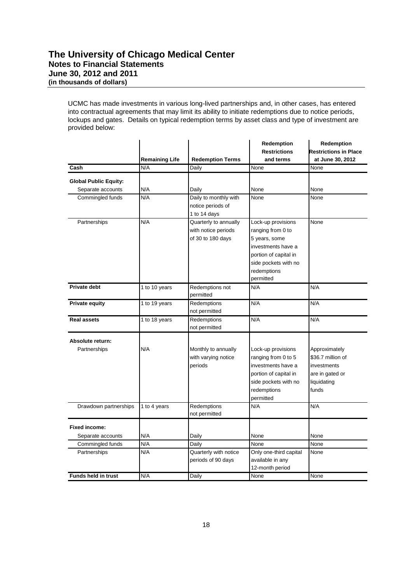UCMC has made investments in various long-lived partnerships and, in other cases, has entered into contractual agreements that may limit its ability to initiate redemptions due to notice periods, lockups and gates. Details on typical redemption terms by asset class and type of investment are provided below:

|                              |                       |                                                                   | Redemption                                                                                                                                                  | Redemption                                                                                   |
|------------------------------|-----------------------|-------------------------------------------------------------------|-------------------------------------------------------------------------------------------------------------------------------------------------------------|----------------------------------------------------------------------------------------------|
|                              |                       |                                                                   | <b>Restrictions</b>                                                                                                                                         | <b>Restrictions in Place</b>                                                                 |
|                              | <b>Remaining Life</b> | <b>Redemption Terms</b>                                           | and terms                                                                                                                                                   | at June 30, 2012                                                                             |
| Cash                         | N/A                   | Daily                                                             | None                                                                                                                                                        | None                                                                                         |
| <b>Global Public Equity:</b> |                       |                                                                   |                                                                                                                                                             |                                                                                              |
| Separate accounts            | N/A                   | Daily                                                             | None                                                                                                                                                        | None                                                                                         |
| Commingled funds             | N/A                   | Daily to monthly with<br>notice periods of<br>1 to 14 days        | None                                                                                                                                                        | None                                                                                         |
| Partnerships                 | N/A                   | Quarterly to annually<br>with notice periods<br>of 30 to 180 days | Lock-up provisions<br>ranging from 0 to<br>5 years, some<br>investments have a<br>portion of capital in<br>side pockets with no<br>redemptions<br>permitted | None                                                                                         |
| Private debt                 | 1 to 10 years         | Redemptions not<br>permitted                                      | N/A                                                                                                                                                         | N/A                                                                                          |
| <b>Private equity</b>        | 1 to 19 years         | Redemptions<br>not permitted                                      | N/A                                                                                                                                                         | N/A                                                                                          |
| <b>Real assets</b>           | 1 to 18 years         | Redemptions<br>not permitted                                      | N/A                                                                                                                                                         | N/A                                                                                          |
| Absolute return:             |                       |                                                                   |                                                                                                                                                             |                                                                                              |
| Partnerships                 | N/A                   | Monthly to annually<br>with varying notice<br>periods             | Lock-up provisions<br>ranging from 0 to 5<br>investments have a<br>portion of capital in<br>side pockets with no<br>redemptions<br>permitted                | Approximately<br>\$36.7 million of<br>investments<br>are in gated or<br>liquidating<br>funds |
| Drawdown partnerships        | 1 to 4 years          | Redemptions<br>not permitted                                      | N/A                                                                                                                                                         | N/A                                                                                          |
| <b>Fixed income:</b>         |                       |                                                                   |                                                                                                                                                             |                                                                                              |
| Separate accounts            | N/A                   | Daily                                                             | None                                                                                                                                                        | None                                                                                         |
| Commingled funds             | N/A                   | Daily                                                             | None                                                                                                                                                        | None                                                                                         |
| Partnerships                 | N/A                   | Quarterly with notice<br>periods of 90 days                       | Only one-third capital<br>available in any<br>12-month period                                                                                               | None                                                                                         |
| <b>Funds held in trust</b>   | N/A                   | <b>Daily</b>                                                      | None                                                                                                                                                        | None                                                                                         |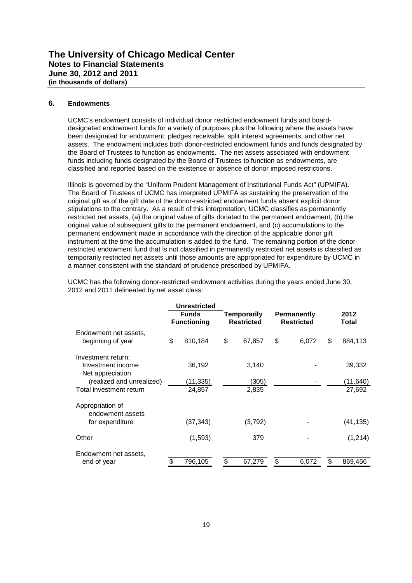#### **6. Endowments**

UCMC's endowment consists of individual donor restricted endowment funds and boarddesignated endowment funds for a variety of purposes plus the following where the assets have been designated for endowment: pledges receivable, split interest agreements, and other net assets. The endowment includes both donor-restricted endowment funds and funds designated by the Board of Trustees to function as endowments. The net assets associated with endowment funds including funds designated by the Board of Trustees to function as endowments, are classified and reported based on the existence or absence of donor imposed restrictions.

Illinois is governed by the "Uniform Prudent Management of Institutional Funds Act" (UPMIFA). The Board of Trustees of UCMC has interpreted UPMIFA as sustaining the preservation of the original gift as of the gift date of the donor-restricted endowment funds absent explicit donor stipulations to the contrary. As a result of this interpretation, UCMC classifies as permanently restricted net assets, (a) the original value of gifts donated to the permanent endowment, (b) the original value of subsequent gifts to the permanent endowment, and (c) accumulations to the permanent endowment made in accordance with the direction of the applicable donor gift instrument at the time the accumulation is added to the fund. The remaining portion of the donorrestricted endowment fund that is not classified in permanently restricted net assets is classified as temporarily restricted net assets until those amounts are appropriated for expenditure by UCMC in a manner consistent with the standard of prudence prescribed by UPMIFA.

| UCMC has the following donor-restricted endowment activities during the years ended June 30, |  |
|----------------------------------------------------------------------------------------------|--|
| 2012 and 2011 delineated by net asset class:                                                 |  |

|                                                             | <b>Unrestricted</b>                |    |                                  |    |                                         |    |                    |
|-------------------------------------------------------------|------------------------------------|----|----------------------------------|----|-----------------------------------------|----|--------------------|
|                                                             | <b>Funds</b><br><b>Functioning</b> |    | Temporarily<br><b>Restricted</b> |    | <b>Permanently</b><br><b>Restricted</b> |    | 2012<br>Total      |
| Endowment net assets,<br>beginning of year                  | \$<br>810,184                      | \$ | 67,857                           | \$ | 6.072                                   | \$ | 884,113            |
| Investment return:<br>Investment income<br>Net appreciation | 36,192                             |    | 3,140                            |    |                                         |    | 39,332             |
| (realized and unrealized)<br>Total investment return        | (11,335)<br>24,857                 |    | (305)<br>2,835                   |    |                                         |    | (11,640)<br>27,692 |
| Appropriation of<br>endowment assets                        |                                    |    |                                  |    |                                         |    |                    |
| for expenditure                                             | (37,343)                           |    | (3,792)                          |    |                                         |    | (41,135)           |
| Other                                                       | (1,593)                            |    | 379                              |    |                                         |    | (1,214)            |
| Endowment net assets,<br>end of year                        | \$<br>796,105                      | \$ | 67,279                           | S  | 6,072                                   | S  | 869,456            |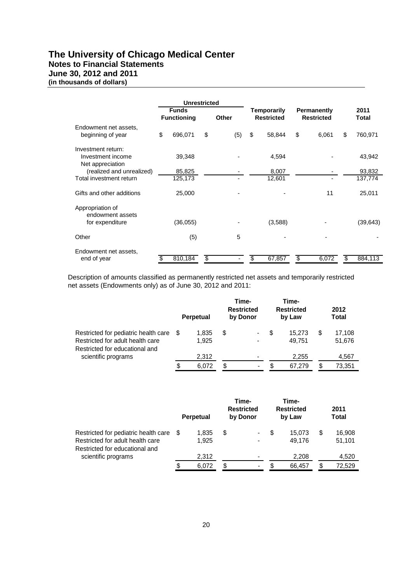## **The University of Chicago Medical Center Notes to Financial Statements June 30, 2012 and 2011 (in thousands of dollars)**

|                                                             | <b>Unrestricted</b>                |              |                                  |                                  |               |
|-------------------------------------------------------------|------------------------------------|--------------|----------------------------------|----------------------------------|---------------|
|                                                             | <b>Funds</b><br><b>Functioning</b> | <b>Other</b> | Temporarily<br><b>Restricted</b> | Permanently<br><b>Restricted</b> | 2011<br>Total |
| Endowment net assets,<br>beginning of year                  | \$<br>696,071                      | \$<br>(5)    | \$<br>58,844                     | \$<br>6,061                      | \$<br>760,971 |
| Investment return:<br>Investment income<br>Net appreciation | 39,348                             |              | 4,594                            |                                  | 43,942        |
| (realized and unrealized)                                   | 85,825                             |              | 8,007                            |                                  | 93,832        |
| Total investment return                                     | 125,173                            |              | 12,601                           |                                  | 137,774       |
| Gifts and other additions                                   | 25,000                             |              |                                  | 11                               | 25,011        |
| Appropriation of<br>endowment assets<br>for expenditure     | (36, 055)                          |              | (3,588)                          |                                  | (39, 643)     |
| Other                                                       | (5)                                | 5            |                                  |                                  |               |
| Endowment net assets,<br>end of year                        | 810,184                            | \$           | \$<br>67,857                     | \$<br>6,072                      | \$<br>884,113 |

Description of amounts classified as permanently restricted net assets and temporarily restricted net assets (Endowments only) as of June 30, 2012 and 2011:

|                                                                                                            |   | <b>Perpetual</b> | Time-<br><b>Restricted</b><br>by Donor |   | Time-<br><b>Restricted</b><br>by Law |    | 2012<br>Total    |
|------------------------------------------------------------------------------------------------------------|---|------------------|----------------------------------------|---|--------------------------------------|----|------------------|
| Restricted for pediatric health care<br>Restricted for adult health care<br>Restricted for educational and | S | 1.835<br>1.925   | \$<br>$\blacksquare$<br>$\blacksquare$ | S | 15.273<br>49.751                     | S  | 17,108<br>51,676 |
| scientific programs                                                                                        |   | 2,312            | $\blacksquare$                         |   | 2,255                                |    | 4,567            |
|                                                                                                            |   | 6.072            | \$<br>$\,$                             | S | 67.279                               | S. | 73,351           |

|                                                                                                            |    | <b>Perpetual</b> |    | Time-<br><b>Restricted</b><br>by Donor |   | Time-<br><b>Restricted</b><br>by Law |   | 2011<br><b>Total</b> |
|------------------------------------------------------------------------------------------------------------|----|------------------|----|----------------------------------------|---|--------------------------------------|---|----------------------|
| Restricted for pediatric health care<br>Restricted for adult health care<br>Restricted for educational and | -S | 1.835<br>1.925   | S  | $\blacksquare$<br>$\blacksquare$       | S | 15.073<br>49.176                     | S | 16,908<br>51,101     |
| scientific programs                                                                                        |    | 2.312            |    | $\blacksquare$                         |   | 2,208                                |   | 4,520                |
|                                                                                                            | \$ | 6.072            | \$ | $\blacksquare$                         | S | 66.457                               |   | 72.529               |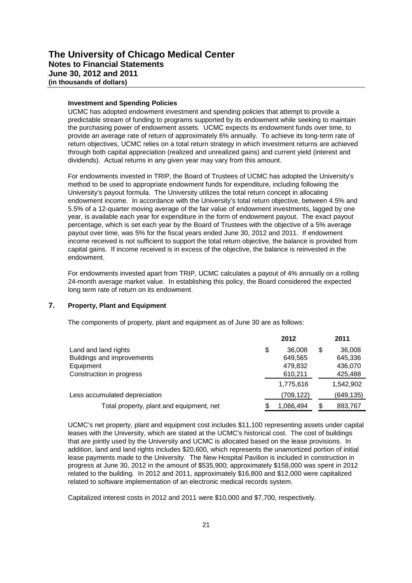#### **Investment and Spending Policies**

UCMC has adopted endowment investment and spending policies that attempt to provide a predictable stream of funding to programs supported by its endowment while seeking to maintain the purchasing power of endowment assets. UCMC expects its endowment funds over time, to provide an average rate of return of approximately 6% annually. To achieve its long-term rate of return objectives, UCMC relies on a total return strategy in which investment returns are achieved through both capital appreciation (realized and unrealized gains) and current yield (interest and dividends). Actual returns in any given year may vary from this amount.

For endowments invested in TRIP, the Board of Trustees of UCMC has adopted the University's method to be used to appropriate endowment funds for expenditure, including following the University's payout formula. The University utilizes the total return concept in allocating endowment income. In accordance with the University's total return objective, between 4.5% and 5.5% of a 12-quarter moving average of the fair value of endowment investments, lagged by one year, is available each year for expenditure in the form of endowment payout. The exact payout percentage, which is set each year by the Board of Trustees with the objective of a 5% average payout over time, was 5% for the fiscal years ended June 30, 2012 and 2011. If endowment income received is not sufficient to support the total return objective, the balance is provided from capital gains. If income received is in excess of the objective, the balance is reinvested in the endowment.

For endowments invested apart from TRIP, UCMC calculates a payout of 4% annually on a rolling 24-month average market value. In establishing this policy, the Board considered the expected long term rate of return on its endowment.

#### **7. Property, Plant and Equipment**

The components of property, plant and equipment as of June 30 are as follows:

|                                          |    | 2012       |     | 2011       |
|------------------------------------------|----|------------|-----|------------|
| Land and land rights                     | \$ | 36,008     | \$. | 36,008     |
| Buildings and improvements               |    | 649.565    |     | 645,336    |
| Equipment                                |    | 479,832    |     | 436,070    |
| Construction in progress                 |    | 610,211    |     | 425,488    |
|                                          |    | 1,775,616  |     | 1,542,902  |
| Less accumulated depreciation            |    | (709, 122) |     | (649, 135) |
| Total property, plant and equipment, net | S  | 1,066,494  |     | 893,767    |

UCMC's net property, plant and equipment cost includes \$11,100 representing assets under capital leases with the University, which are stated at the UCMC's historical cost. The cost of buildings that are jointly used by the University and UCMC is allocated based on the lease provisions. In addition, land and land rights includes \$20,600, which represents the unamortized portion of initial lease payments made to the University. The New Hospital Pavilion is included in construction in progress at June 30, 2012 in the amount of \$535,900; approximately \$158,000 was spent in 2012 related to the building. In 2012 and 2011, approximately \$16,800 and \$12,000 were capitalized related to software implementation of an electronic medical records system.

Capitalized interest costs in 2012 and 2011 were \$10,000 and \$7,700, respectively.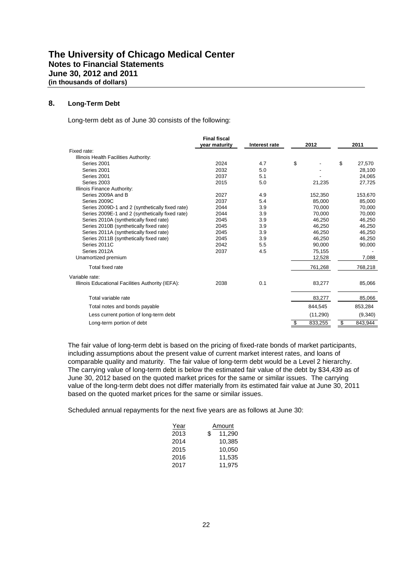#### **8. Long-Term Debt**

Long-term debt as of June 30 consists of the following:

| 2011    |
|---------|
|         |
|         |
| 27,570  |
| 28,100  |
| 24,065  |
| 27,725  |
|         |
| 153,670 |
| 85,000  |
| 70,000  |
| 70,000  |
| 46,250  |
| 46,250  |
| 46,250  |
| 46,250  |
| 90,000  |
|         |
| 7,088   |
| 768,218 |
|         |
| 85,066  |
| 85,066  |
| 853,284 |
| (9,340) |
| 843,944 |
|         |

The fair value of long-term debt is based on the pricing of fixed-rate bonds of market participants, including assumptions about the present value of current market interest rates, and loans of comparable quality and maturity. The fair value of long-term debt would be a Level 2 hierarchy. The carrying value of long-term debt is below the estimated fair value of the debt by \$34,439 as of June 30, 2012 based on the quoted market prices for the same or similar issues. The carrying value of the long-term debt does not differ materially from its estimated fair value at June 30, 2011 based on the quoted market prices for the same or similar issues.

Scheduled annual repayments for the next five years are as follows at June 30:

| Year | Amount       |  |  |  |  |  |
|------|--------------|--|--|--|--|--|
| 2013 | \$<br>11,290 |  |  |  |  |  |
| 2014 | 10.385       |  |  |  |  |  |
| 2015 | 10.050       |  |  |  |  |  |
| 2016 | 11,535       |  |  |  |  |  |
| 2017 | 11.975       |  |  |  |  |  |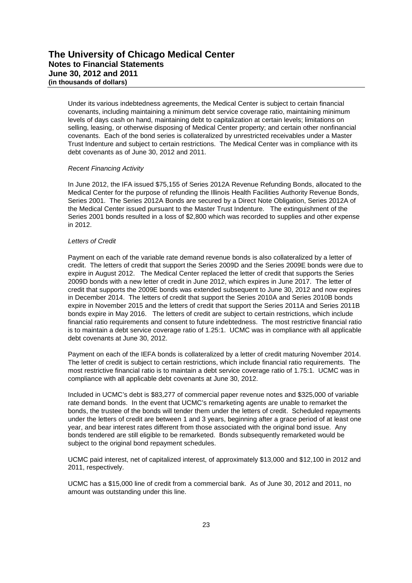Under its various indebtedness agreements, the Medical Center is subject to certain financial covenants, including maintaining a minimum debt service coverage ratio, maintaining minimum levels of days cash on hand, maintaining debt to capitalization at certain levels; limitations on selling, leasing, or otherwise disposing of Medical Center property; and certain other nonfinancial covenants. Each of the bond series is collateralized by unrestricted receivables under a Master Trust Indenture and subject to certain restrictions. The Medical Center was in compliance with its debt covenants as of June 30, 2012 and 2011.

#### *Recent Financing Activity*

In June 2012, the IFA issued \$75,155 of Series 2012A Revenue Refunding Bonds, allocated to the Medical Center for the purpose of refunding the Illinois Health Facilities Authority Revenue Bonds, Series 2001. The Series 2012A Bonds are secured by a Direct Note Obligation, Series 2012A of the Medical Center issued pursuant to the Master Trust Indenture. The extinguishment of the Series 2001 bonds resulted in a loss of \$2,800 which was recorded to supplies and other expense in 2012.

#### *Letters of Credit*

Payment on each of the variable rate demand revenue bonds is also collateralized by a letter of credit. The letters of credit that support the Series 2009D and the Series 2009E bonds were due to expire in August 2012. The Medical Center replaced the letter of credit that supports the Series 2009D bonds with a new letter of credit in June 2012, which expires in June 2017. The letter of credit that supports the 2009E bonds was extended subsequent to June 30, 2012 and now expires in December 2014. The letters of credit that support the Series 2010A and Series 2010B bonds expire in November 2015 and the letters of credit that support the Series 2011A and Series 2011B bonds expire in May 2016. The letters of credit are subject to certain restrictions, which include financial ratio requirements and consent to future indebtedness. The most restrictive financial ratio is to maintain a debt service coverage ratio of 1.25:1. UCMC was in compliance with all applicable debt covenants at June 30, 2012.

Payment on each of the IEFA bonds is collateralized by a letter of credit maturing November 2014. The letter of credit is subject to certain restrictions, which include financial ratio requirements. The most restrictive financial ratio is to maintain a debt service coverage ratio of 1.75:1. UCMC was in compliance with all applicable debt covenants at June 30, 2012.

Included in UCMC's debt is \$83,277 of commercial paper revenue notes and \$325,000 of variable rate demand bonds. In the event that UCMC's remarketing agents are unable to remarket the bonds, the trustee of the bonds will tender them under the letters of credit. Scheduled repayments under the letters of credit are between 1 and 3 years, beginning after a grace period of at least one year, and bear interest rates different from those associated with the original bond issue. Any bonds tendered are still eligible to be remarketed. Bonds subsequently remarketed would be subject to the original bond repayment schedules.

UCMC paid interest, net of capitalized interest, of approximately \$13,000 and \$12,100 in 2012 and 2011, respectively.

UCMC has a \$15,000 line of credit from a commercial bank. As of June 30, 2012 and 2011, no amount was outstanding under this line.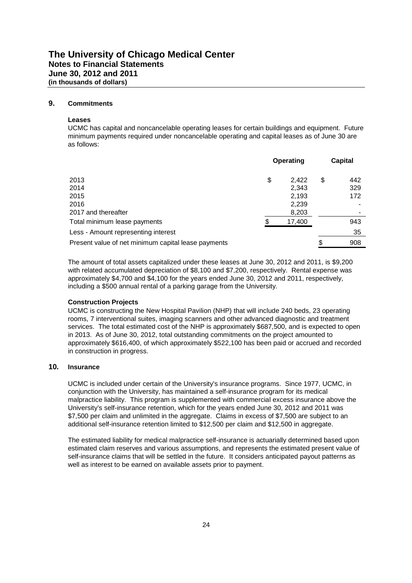#### **9. Commitments**

#### **Leases**

UCMC has capital and noncancelable operating leases for certain buildings and equipment. Future minimum payments required under noncancelable operating and capital leases as of June 30 are as follows:

|                                                     | <b>Operating</b> | <b>Capital</b> |
|-----------------------------------------------------|------------------|----------------|
| 2013                                                | \$<br>2,422      | \$<br>442      |
| 2014                                                | 2,343            | 329            |
| 2015                                                | 2,193            | 172            |
| 2016                                                | 2,239            |                |
| 2017 and thereafter                                 | 8,203            |                |
| Total minimum lease payments                        | 17,400           | 943            |
| Less - Amount representing interest                 |                  | 35             |
| Present value of net minimum capital lease payments |                  | \$<br>908      |

The amount of total assets capitalized under these leases at June 30, 2012 and 2011, is \$9,200 with related accumulated depreciation of \$8,100 and \$7,200, respectively. Rental expense was approximately \$4,700 and \$4,100 for the years ended June 30, 2012 and 2011, respectively, including a \$500 annual rental of a parking garage from the University.

#### **Construction Projects**

UCMC is constructing the New Hospital Pavilion (NHP) that will include 240 beds, 23 operating rooms, 7 interventional suites, imaging scanners and other advanced diagnostic and treatment services. The total estimated cost of the NHP is approximately \$687,500, and is expected to open in 2013. As of June 30, 2012, total outstanding commitments on the project amounted to approximately \$616,400, of which approximately \$522,100 has been paid or accrued and recorded in construction in progress.

#### **10. Insurance**

UCMC is included under certain of the University's insurance programs. Since 1977, UCMC, in conjunction with the University, has maintained a self-insurance program for its medical malpractice liability. This program is supplemented with commercial excess insurance above the University's self-insurance retention, which for the years ended June 30, 2012 and 2011 was \$7,500 per claim and unlimited in the aggregate. Claims in excess of \$7,500 are subject to an additional self-insurance retention limited to \$12,500 per claim and \$12,500 in aggregate.

The estimated liability for medical malpractice self-insurance is actuarially determined based upon estimated claim reserves and various assumptions, and represents the estimated present value of self-insurance claims that will be settled in the future. It considers anticipated payout patterns as well as interest to be earned on available assets prior to payment.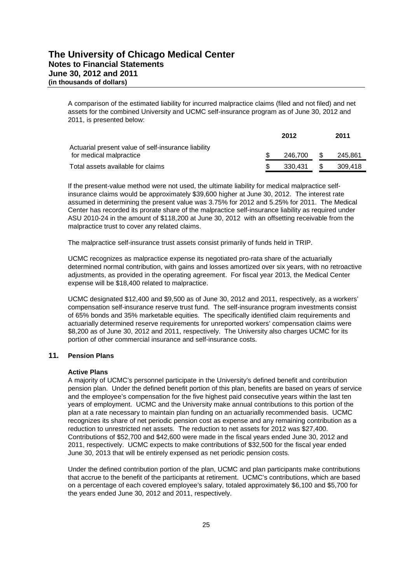A comparison of the estimated liability for incurred malpractice claims (filed and not filed) and net assets for the combined University and UCMC self-insurance program as of June 30, 2012 and 2011, is presented below:

|                                                     | 2012     |      | 2011    |
|-----------------------------------------------------|----------|------|---------|
| Actuarial present value of self-insurance liability |          |      |         |
| for medical malpractice                             | 246.700  | \$.  | 245.861 |
| Total assets available for claims                   | -330.431 | - SS | 309.418 |

If the present-value method were not used, the ultimate liability for medical malpractice selfinsurance claims would be approximately \$39,600 higher at June 30, 2012. The interest rate assumed in determining the present value was 3.75% for 2012 and 5.25% for 2011. The Medical Center has recorded its prorate share of the malpractice self-insurance liability as required under ASU 2010-24 in the amount of \$118,200 at June 30, 2012 with an offsetting receivable from the malpractice trust to cover any related claims.

The malpractice self-insurance trust assets consist primarily of funds held in TRIP.

UCMC recognizes as malpractice expense its negotiated pro-rata share of the actuarially determined normal contribution, with gains and losses amortized over six years, with no retroactive adjustments, as provided in the operating agreement. For fiscal year 2013, the Medical Center expense will be \$18,400 related to malpractice.

UCMC designated \$12,400 and \$9,500 as of June 30, 2012 and 2011, respectively, as a workers' compensation self-insurance reserve trust fund. The self-insurance program investments consist of 65% bonds and 35% marketable equities. The specifically identified claim requirements and actuarially determined reserve requirements for unreported workers' compensation claims were \$8,200 as of June 30, 2012 and 2011, respectively. The University also charges UCMC for its portion of other commercial insurance and self-insurance costs.

#### **11. Pension Plans**

#### **Active Plans**

A majority of UCMC's personnel participate in the University's defined benefit and contribution pension plan. Under the defined benefit portion of this plan, benefits are based on years of service and the employee's compensation for the five highest paid consecutive years within the last ten years of employment. UCMC and the University make annual contributions to this portion of the plan at a rate necessary to maintain plan funding on an actuarially recommended basis. UCMC recognizes its share of net periodic pension cost as expense and any remaining contribution as a reduction to unrestricted net assets. The reduction to net assets for 2012 was \$27,400. Contributions of \$52,700 and \$42,600 were made in the fiscal years ended June 30, 2012 and 2011, respectively. UCMC expects to make contributions of \$32,500 for the fiscal year ended June 30, 2013 that will be entirely expensed as net periodic pension costs.

Under the defined contribution portion of the plan, UCMC and plan participants make contributions that accrue to the benefit of the participants at retirement. UCMC's contributions, which are based on a percentage of each covered employee's salary, totaled approximately \$6,100 and \$5,700 for the years ended June 30, 2012 and 2011, respectively.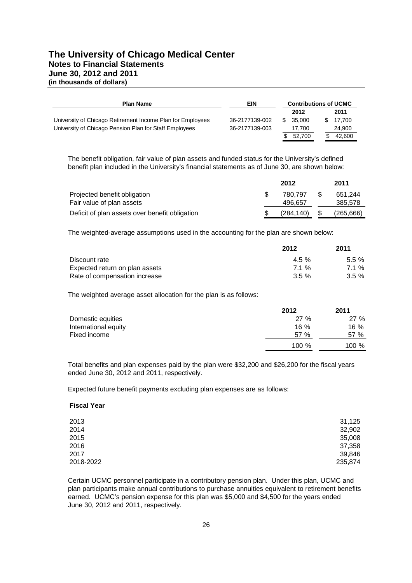# **The University of Chicago Medical Center Notes to Financial Statements June 30, 2012 and 2011 (in thousands of dollars)**

| <b>Plan Name</b>                                           | EIN            | <b>Contributions of UCMC</b> |        |  |        |
|------------------------------------------------------------|----------------|------------------------------|--------|--|--------|
|                                                            |                |                              | 2012   |  | 2011   |
| University of Chicago Retirement Income Plan for Employees | 36-2177139-002 |                              | 35.000 |  | 17.700 |
| University of Chicago Pension Plan for Staff Employees     | 36-2177139-003 |                              | 17.700 |  | 24,900 |
|                                                            |                |                              | 52,700 |  | 42.600 |

The benefit obligation, fair value of plan assets and funded status for the University's defined benefit plan included in the University's financial statements as of June 30, are shown below:

|                                                | 2012      | 2011       |
|------------------------------------------------|-----------|------------|
| Projected benefit obligation                   | 780.797   | 651.244    |
| Fair value of plan assets                      | 496.657   | 385,578    |
| Deficit of plan assets over benefit obligation | (284.140) | (265, 666) |

The weighted-average assumptions used in the accounting for the plan are shown below:

|                                | 2012     | 2011     |
|--------------------------------|----------|----------|
| Discount rate                  | $4.5\%$  | $5.5 \%$ |
| Expected return on plan assets | 71%      | 71%      |
| Rate of compensation increase  | $3.5 \%$ | $3.5 \%$ |

The weighted average asset allocation for the plan is as follows:

|                      | 2012   | 2011   |
|----------------------|--------|--------|
| Domestic equities    | 27%    | 27%    |
| International equity | $16\%$ | $16\%$ |
| Fixed income         | 57 %   | 57 %   |
|                      | 100 %  | 100 %  |

Total benefits and plan expenses paid by the plan were \$32,200 and \$26,200 for the fiscal years ended June 30, 2012 and 2011, respectively.

Expected future benefit payments excluding plan expenses are as follows:

#### **Fiscal Year**

| 2013      | 31,125  |
|-----------|---------|
| 2014      | 32,902  |
| 2015      | 35,008  |
| 2016      | 37,358  |
| 2017      | 39,846  |
| 2018-2022 | 235,874 |

Certain UCMC personnel participate in a contributory pension plan. Under this plan, UCMC and plan participants make annual contributions to purchase annuities equivalent to retirement benefits earned. UCMC's pension expense for this plan was \$5,000 and \$4,500 for the years ended June 30, 2012 and 2011, respectively.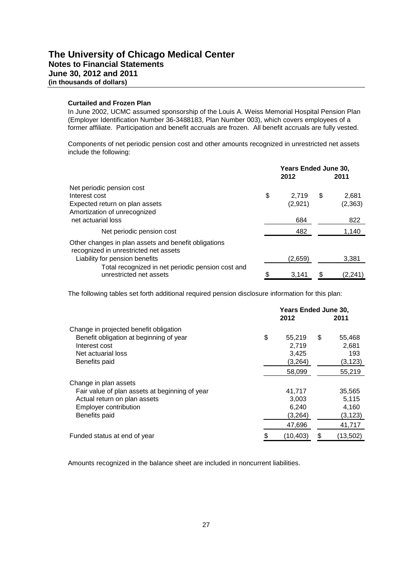#### **Curtailed and Frozen Plan**

In June 2002, UCMC assumed sponsorship of the Louis A. Weiss Memorial Hospital Pension Plan (Employer Identification Number 36-3488183, Plan Number 003), which covers employees of a former affiliate. Participation and benefit accruals are frozen. All benefit accruals are fully vested.

Components of net periodic pension cost and other amounts recognized in unrestricted net assets include the following:

|                                                                                               | Years Ended June 30,<br>2012<br>2011 |    |         |
|-----------------------------------------------------------------------------------------------|--------------------------------------|----|---------|
| Net periodic pension cost                                                                     |                                      |    |         |
| Interest cost                                                                                 | \$<br>2.719                          | \$ | 2.681   |
| Expected return on plan assets<br>Amortization of unrecognized                                | (2,921)                              |    | (2,363) |
| net actuarial loss                                                                            | 684                                  |    | 822     |
| Net periodic pension cost                                                                     | 482                                  |    | 1,140   |
| Other changes in plan assets and benefit obligations<br>recognized in unrestricted net assets |                                      |    |         |
| Liability for pension benefits                                                                | (2,659)                              |    | 3,381   |
| Total recognized in net periodic pension cost and<br>unrestricted net assets                  | \$<br>3,141                          |    | (2,241) |

The following tables set forth additional required pension disclosure information for this plan:

|                                                | <b>Years Ended June 30,</b><br>2012<br>2011 |    |          |
|------------------------------------------------|---------------------------------------------|----|----------|
| Change in projected benefit obligation         |                                             |    |          |
| Benefit obligation at beginning of year        | \$<br>55,219                                | \$ | 55,468   |
| Interest cost                                  | 2,719                                       |    | 2,681    |
| Net actuarial loss                             | 3,425                                       |    | 193      |
| Benefits paid                                  | (3,264)                                     |    | (3,123)  |
|                                                | 58,099                                      |    | 55,219   |
| Change in plan assets                          |                                             |    |          |
| Fair value of plan assets at beginning of year | 41,717                                      |    | 35,565   |
| Actual return on plan assets                   | 3,003                                       |    | 5,115    |
| Employer contribution                          | 6,240                                       |    | 4,160    |
| Benefits paid                                  | (3,264)                                     |    | (3, 123) |
|                                                | 47,696                                      |    | 41,717   |
| Funded status at end of year                   | \$<br>(10, 403)                             |    | (13,502) |

Amounts recognized in the balance sheet are included in noncurrent liabilities.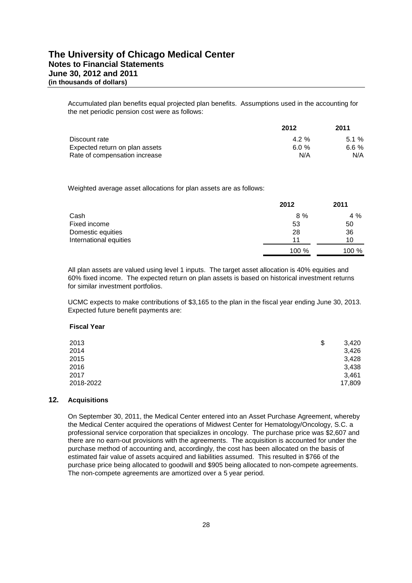Accumulated plan benefits equal projected plan benefits. Assumptions used in the accounting for the net periodic pension cost were as follows:

|                                | 2012  | 2011    |
|--------------------------------|-------|---------|
| Discount rate                  | 4.2 % | $51\%$  |
| Expected return on plan assets | 6.0 % | 6.6 $%$ |
| Rate of compensation increase  | N/A   | N/A     |

Weighted average asset allocations for plan assets are as follows:

|                        | 2012  | 2011  |
|------------------------|-------|-------|
| Cash                   | $8\%$ | $4\%$ |
| Fixed income           | 53    | 50    |
| Domestic equities      | 28    | 36    |
| International equities | 11    | 10    |
|                        | 100 % | 100 % |

All plan assets are valued using level 1 inputs. The target asset allocation is 40% equities and 60% fixed income. The expected return on plan assets is based on historical investment returns for similar investment portfolios.

UCMC expects to make contributions of \$3,165 to the plan in the fiscal year ending June 30, 2013. Expected future benefit payments are:

#### **Fiscal Year**

| 2013      | \$<br>3,420 |
|-----------|-------------|
| 2014      | 3,426       |
| 2015      | 3,428       |
| 2016      | 3,438       |
| 2017      | 3,461       |
| 2018-2022 | 17,809      |
|           |             |

#### **12. Acquisitions**

On September 30, 2011, the Medical Center entered into an Asset Purchase Agreement, whereby the Medical Center acquired the operations of Midwest Center for Hematology/Oncology, S.C. a professional service corporation that specializes in oncology. The purchase price was \$2,607 and there are no earn-out provisions with the agreements. The acquisition is accounted for under the purchase method of accounting and, accordingly, the cost has been allocated on the basis of estimated fair value of assets acquired and liabilities assumed. This resulted in \$766 of the purchase price being allocated to goodwill and \$905 being allocated to non-compete agreements. The non-compete agreements are amortized over a 5 year period.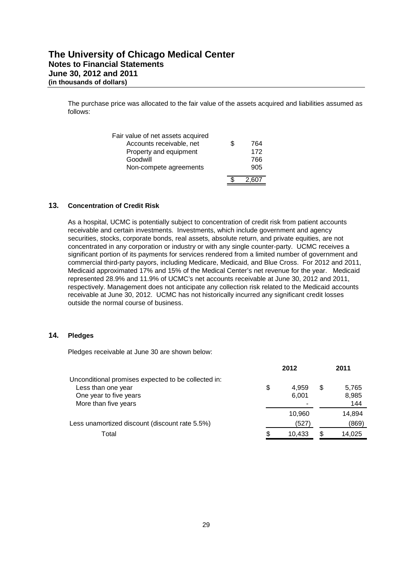The purchase price was allocated to the fair value of the assets acquired and liabilities assumed as follows:

| Fair value of net assets acquired |           |
|-----------------------------------|-----------|
| Accounts receivable, net          | \$<br>764 |
| Property and equipment            | 172       |
| Goodwill                          | 766       |
| Non-compete agreements            | 905       |
|                                   |           |
|                                   |           |

#### **13. Concentration of Credit Risk**

As a hospital, UCMC is potentially subject to concentration of credit risk from patient accounts receivable and certain investments. Investments, which include government and agency securities, stocks, corporate bonds, real assets, absolute return, and private equities, are not concentrated in any corporation or industry or with any single counter-party. UCMC receives a significant portion of its payments for services rendered from a limited number of government and commercial third-party payors, including Medicare, Medicaid, and Blue Cross. For 2012 and 2011, Medicaid approximated 17% and 15% of the Medical Center's net revenue for the year. Medicaid represented 28.9% and 11.9% of UCMC's net accounts receivable at June 30, 2012 and 2011, respectively. Management does not anticipate any collection risk related to the Medicaid accounts receivable at June 30, 2012. UCMC has not historically incurred any significant credit losses outside the normal course of business.

#### **14. Pledges**

Pledges receivable at June 30 are shown below:

|                                                                                                                             | 2012                                             |    | 2011                  |
|-----------------------------------------------------------------------------------------------------------------------------|--------------------------------------------------|----|-----------------------|
| Unconditional promises expected to be collected in:<br>Less than one year<br>One year to five years<br>More than five years | \$<br>4.959<br>6,001<br>$\overline{\phantom{0}}$ | \$ | 5,765<br>8,985<br>144 |
| Less unamortized discount (discount rate 5.5%)                                                                              | 10.960<br>(527)                                  |    | 14.894<br>(869)       |
| Total                                                                                                                       | \$<br>10.433                                     | S  | 14,025                |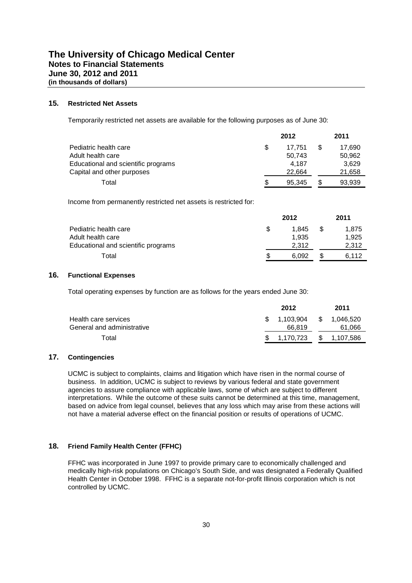#### **15. Restricted Net Assets**

Temporarily restricted net assets are available for the following purposes as of June 30:

|                                     |     | 2012   |   | 2011   |
|-------------------------------------|-----|--------|---|--------|
| Pediatric health care               | \$. | 17.751 | S | 17.690 |
| Adult health care                   |     | 50.743 |   | 50,962 |
| Educational and scientific programs |     | 4.187  |   | 3.629  |
| Capital and other purposes          |     | 22.664 |   | 21,658 |
| Total                               | S   | 95.345 |   | 93.939 |

Income from permanently restricted net assets is restricted for:

|                                     |   | 2012  |   | 2011  |
|-------------------------------------|---|-------|---|-------|
| Pediatric health care               |   | 1.845 | S | 1.875 |
| Adult health care                   |   | 1.935 |   | 1.925 |
| Educational and scientific programs |   | 2.312 |   | 2.312 |
| Total                               | S | 6.092 |   | 6.112 |

#### **16. Functional Expenses**

Total operating expenses by function are as follows for the years ended June 30:

|                            | 2012         | 2011         |
|----------------------------|--------------|--------------|
| Health care services       | \$ 1.103.904 | \$ 1.046.520 |
| General and administrative | 66.819       | 61,066       |
| Total                      | \$ 1.170.723 | \$ 1,107,586 |

#### **17. Contingencies**

UCMC is subject to complaints, claims and litigation which have risen in the normal course of business. In addition, UCMC is subject to reviews by various federal and state government agencies to assure compliance with applicable laws, some of which are subject to different interpretations. While the outcome of these suits cannot be determined at this time, management, based on advice from legal counsel, believes that any loss which may arise from these actions will not have a material adverse effect on the financial position or results of operations of UCMC.

#### **18. Friend Family Health Center (FFHC)**

FFHC was incorporated in June 1997 to provide primary care to economically challenged and medically high-risk populations on Chicago's South Side, and was designated a Federally Qualified Health Center in October 1998. FFHC is a separate not-for-profit Illinois corporation which is not controlled by UCMC.